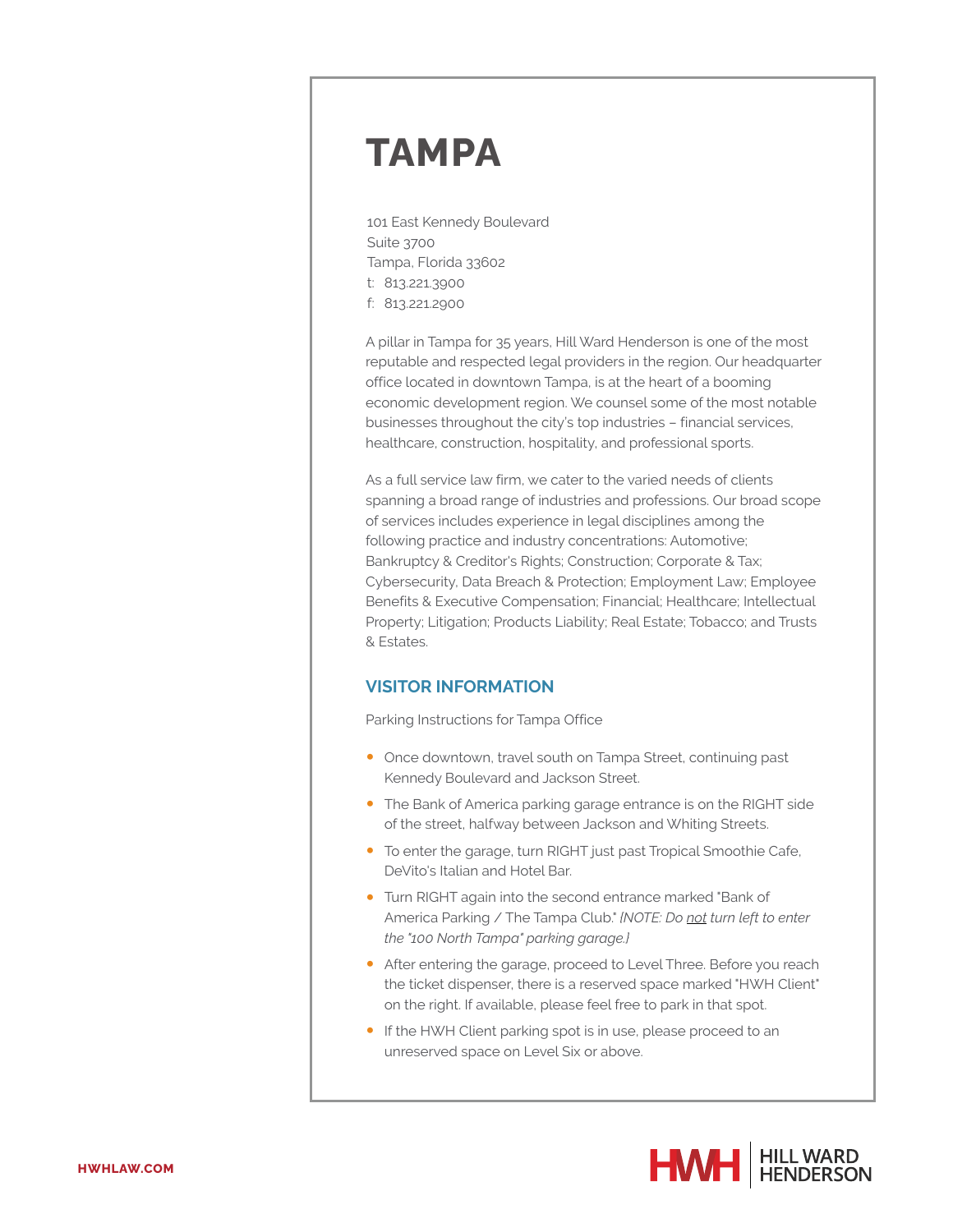## **TAMPA**

101 East Kennedy Boulevard Suite 3700 Tampa, Florida 33602 t: 813.221.3900 f: 813.221.2900

A pillar in Tampa for 35 years, Hill Ward Henderson is one of the most reputable and respected legal providers in the region. Our headquarter office located in downtown Tampa, is at the heart of a booming economic development region. We counsel some of the most notable businesses throughout the city's top industries – financial services, healthcare, construction, hospitality, and professional sports.

As a full service law firm, we cater to the varied needs of clients spanning a broad range of industries and professions. Our broad scope of services includes experience in legal disciplines among the following practice and industry concentrations: Automotive; Bankruptcy & Creditor's Rights; Construction; Corporate & Tax; Cybersecurity, Data Breach & Protection; Employment Law; Employee Benefits & Executive Compensation; Financial; Healthcare; Intellectual Property; Litigation; Products Liability; Real Estate; Tobacco; and Trusts & Estates.

## **VISITOR INFORMATION**

Parking Instructions for Tampa Office

- Once downtown, travel south on Tampa Street, continuing past Kennedy Boulevard and Jackson Street.
- The Bank of America parking garage entrance is on the RIGHT side of the street, halfway between Jackson and Whiting Streets.
- To enter the garage, turn RIGHT just past Tropical Smoothie Cafe, DeVito's Italian and Hotel Bar.
- Turn RIGHT again into the second entrance marked "Bank of America Parking / The Tampa Club." *{NOTE: Do not turn left to enter the "100 North Tampa" parking garage.}*
- After entering the garage, proceed to Level Three. Before you reach the ticket dispenser, there is a reserved space marked "HWH Client" on the right. If available, please feel free to park in that spot.
- If the HWH Client parking spot is in use, please proceed to an unreserved space on Level Six or above.